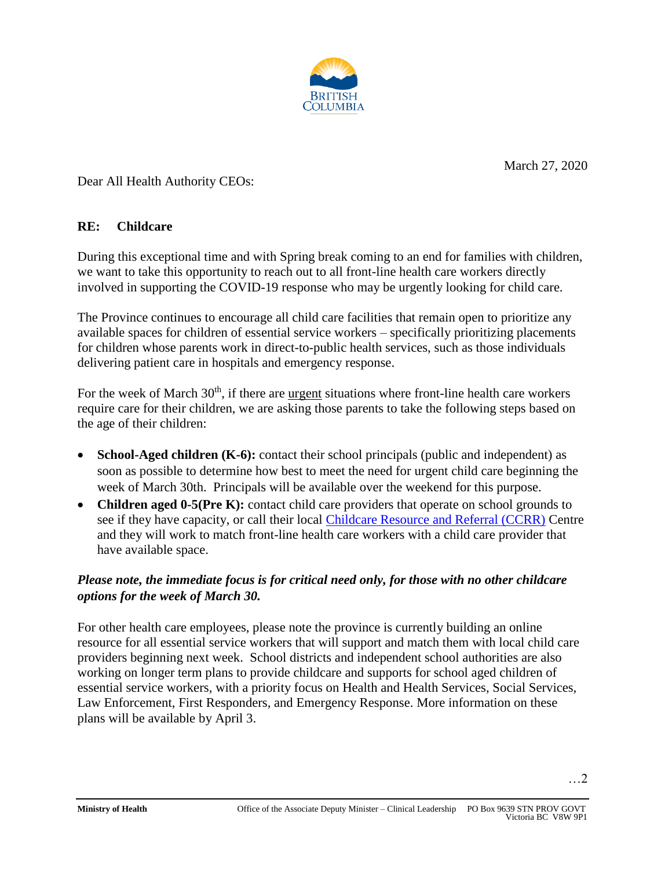

March 27, 2020

…2

Dear All Health Authority CEOs:

## **RE: Childcare**

During this exceptional time and with Spring break coming to an end for families with children, we want to take this opportunity to reach out to all front-line health care workers directly involved in supporting the COVID-19 response who may be urgently looking for child care.

The Province continues to encourage all child care facilities that remain open to prioritize any available spaces for children of essential service workers – specifically prioritizing placements for children whose parents work in direct-to-public health services, such as those individuals delivering patient care in hospitals and emergency response.

For the week of March  $30<sup>th</sup>$ , if there are urgent situations where front-line health care workers require care for their children, we are asking those parents to take the following steps based on the age of their children:

- **School-Aged children (K-6):** contact their school principals (public and independent) as soon as possible to determine how best to meet the need for urgent child care beginning the week of March 30th. Principals will be available over the weekend for this purpose.
- **Children aged 0-5(Pre K):** contact child care providers that operate on school grounds to see if they have capacity, or call their local [Childcare Resource and Referral \(CCRR\)](https://www2.gov.bc.ca/gov/content/family-social-supports/caring-for-young-children/how-to-access-child-care/child-care-resource-referral-centre) Centre and they will work to match front-line health care workers with a child care provider that have available space.

## *Please note, the immediate focus is for critical need only, for those with no other childcare options for the week of March 30.*

For other health care employees, please note the province is currently building an online resource for all essential service workers that will support and match them with local child care providers beginning next week. School districts and independent school authorities are also working on longer term plans to provide childcare and supports for school aged children of essential service workers, with a priority focus on Health and Health Services, Social Services, Law Enforcement, First Responders, and Emergency Response. More information on these plans will be available by April 3.